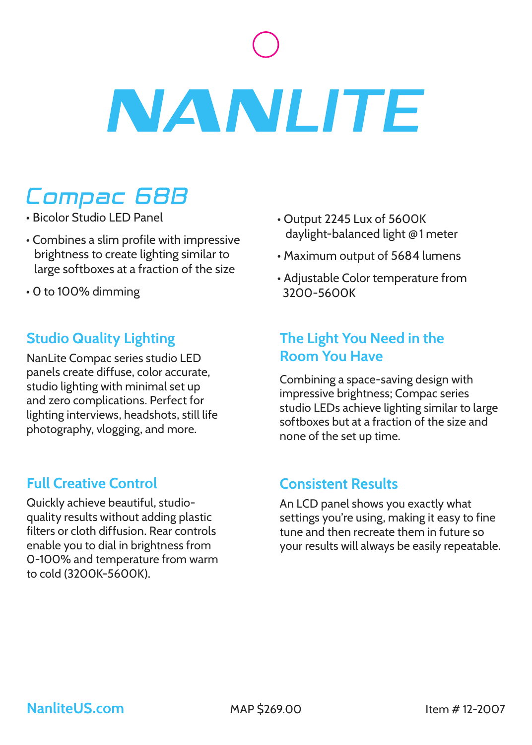# **NANLITE**

# Compac 68B

- Bicolor Studio LED Panel
- Combines a slim profile with impressive brightness to create lighting similar to large softboxes at a fraction of the size
- 0 to 100% dimming

### **Studio Quality Lighting**

NanLite Compac series studio LED panels create diffuse, color accurate, studio lighting with minimal set up and zero complications. Perfect for lighting interviews, headshots, still life photography, vlogging, and more.

## **Full Creative Control**

Quickly achieve beautiful, studioquality results without adding plastic filters or cloth diffusion. Rear controls enable you to dial in brightness from 0-100% and temperature from warm to cold (3200K-5600K).

- Output 2245 Lux of 5600K daylight-balanced light **@** 1 meter
- Maximum output of 5684 lumens
- Adjustable Color temperature from 3200-5600K

### **The Light You Need in the Room You Have**

Combining a space-saving design with impressive brightness; Compac series studio LEDs achieve lighting similar to large softboxes but at a fraction of the size and none of the set up time.

### **Consistent Results**

An LCD panel shows you exactly what settings you're using, making it easy to fine tune and then recreate them in future so your results will always be easily repeatable.